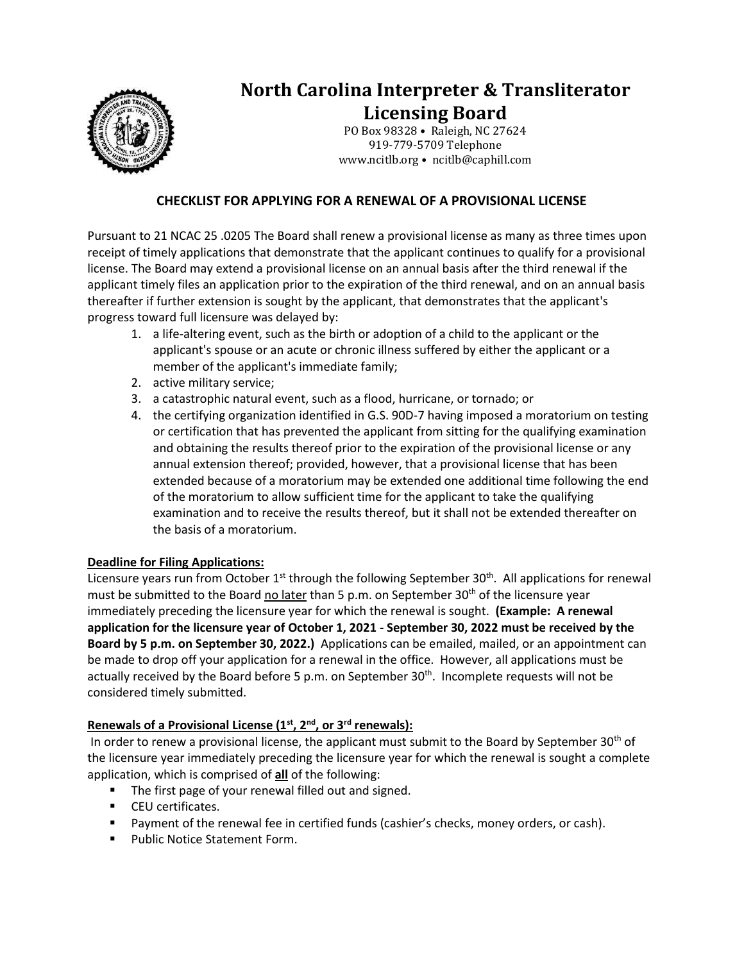

# **North Carolina Interpreter & Transliterator Licensing Board**

PO Box 98328 • Raleigh, NC 27624 919-779-5709 Telephone www.ncitlb.org • ncitlb@caphill.com

## **CHECKLIST FOR APPLYING FOR A RENEWAL OF A PROVISIONAL LICENSE**

Pursuant to 21 NCAC 25 .0205 The Board shall renew a provisional license as many as three times upon receipt of timely applications that demonstrate that the applicant continues to qualify for a provisional license. The Board may extend a provisional license on an annual basis after the third renewal if the applicant timely files an application prior to the expiration of the third renewal, and on an annual basis thereafter if further extension is sought by the applicant, that demonstrates that the applicant's progress toward full licensure was delayed by:

- 1. a life-altering event, such as the birth or adoption of a child to the applicant or the applicant's spouse or an acute or chronic illness suffered by either the applicant or a member of the applicant's immediate family;
- 2. active military service;
- 3. a catastrophic natural event, such as a flood, hurricane, or tornado; or
- 4. the certifying organization identified in G.S. 90D-7 having imposed a moratorium on testing or certification that has prevented the applicant from sitting for the qualifying examination and obtaining the results thereof prior to the expiration of the provisional license or any annual extension thereof; provided, however, that a provisional license that has been extended because of a moratorium may be extended one additional time following the end of the moratorium to allow sufficient time for the applicant to take the qualifying examination and to receive the results thereof, but it shall not be extended thereafter on the basis of a moratorium.

#### **Deadline for Filing Applications:**

Licensure years run from October  $1<sup>st</sup>$  through the following September 30<sup>th</sup>. All applications for renewal must be submitted to the Board no later than 5 p.m. on September 30<sup>th</sup> of the licensure year immediately preceding the licensure year for which the renewal is sought. **(Example: A renewal application for the licensure year of October 1, 2021 - September 30, 2022 must be received by the Board by 5 p.m. on September 30, 2022.)** Applications can be emailed, mailed, or an appointment can be made to drop off your application for a renewal in the office. However, all applications must be actually received by the Board before 5 p.m. on September 30<sup>th</sup>. Incomplete requests will not be considered timely submitted.

## **Renewals of a Provisional License (1st, 2nd, or 3rd renewals):**

In order to renew a provisional license, the applicant must submit to the Board by September 30<sup>th</sup> of the licensure year immediately preceding the licensure year for which the renewal is sought a complete application, which is comprised of **all** of the following:

- The first page of your renewal filled out and signed.
- CEU certificates.
- Payment of the renewal fee in certified funds (cashier's checks, money orders, or cash).
- Public Notice Statement Form.